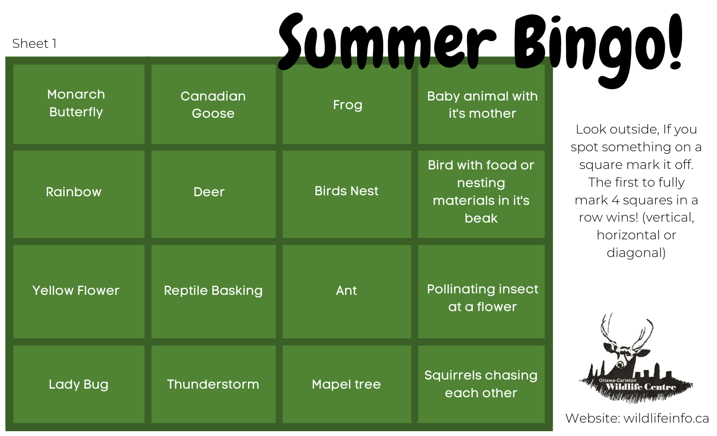Sheet 1

Summer Bingo!

| <b>Monarch</b><br><b>Butterfly</b> | Canadian<br>Goose      | Frog              | <b>Baby animal with</b><br>it's mother                    |
|------------------------------------|------------------------|-------------------|-----------------------------------------------------------|
| <b>Rainbow</b>                     | <b>Deer</b>            | <b>Birds Nest</b> | Bird with food or<br>nesting<br>materials in it's<br>beak |
| <b>Yellow Flower</b>               | <b>Reptile Basking</b> | Ant               | <b>Pollinating insect</b><br>at a flower                  |
| <b>Lady Bug</b>                    | Thunderstorm           | <b>Mapel tree</b> | <b>Squirrels chasing</b><br>each other                    |

Look outside, If you spot something on a square mark it off. The first to fully mark 4 squares in a row wins! (vertical, horizontal or diagonal)

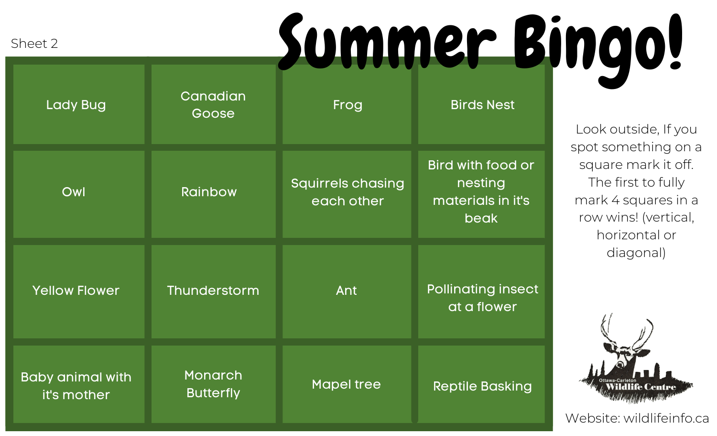Sheet 2

Summer Bingo!

| <b>Lady Bug</b>                        | Canadian<br>Goose           | Frog                                   | <b>Birds Nest</b>                                         |
|----------------------------------------|-----------------------------|----------------------------------------|-----------------------------------------------------------|
| Owl                                    | <b>Rainbow</b>              | <b>Squirrels chasing</b><br>each other | Bird with food or<br>nesting<br>materials in it's<br>beak |
| <b>Yellow Flower</b>                   | Thunderstorm                | Ant                                    | <b>Pollinating insect</b><br>at a flower                  |
| <b>Baby animal with</b><br>it's mother | Monarch<br><b>Butterfly</b> | <b>Mapel tree</b>                      | <b>Reptile Basking</b>                                    |

Look outside, If you spot something on a square mark it off. The first to fully mark 4 squares in a row wins! (vertical, horizontal or diagonal)

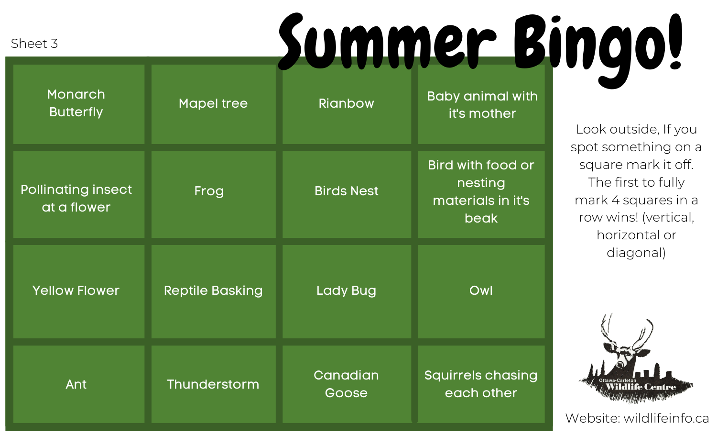## Summer Bingo!

Sheet 3

| Monarch<br><b>Butterfly</b>              | <b>Mapel tree</b>      | <b>Rianbow</b>    | <b>Baby animal with</b><br>it's mother                    |
|------------------------------------------|------------------------|-------------------|-----------------------------------------------------------|
| <b>Pollinating insect</b><br>at a flower | Frog                   | <b>Birds Nest</b> | Bird with food or<br>nesting<br>materials in it's<br>beak |
| <b>Yellow Flower</b>                     | <b>Reptile Basking</b> | <b>Lady Bug</b>   | Owl                                                       |
| Ant                                      | Thunderstorm           | Canadian<br>Goose | <b>Squirrels chasing</b><br>each other                    |

Look outside, If you spot something on a square mark it off. The first to fully mark 4 squares in a row wins! (vertical, horizontal or diagonal)